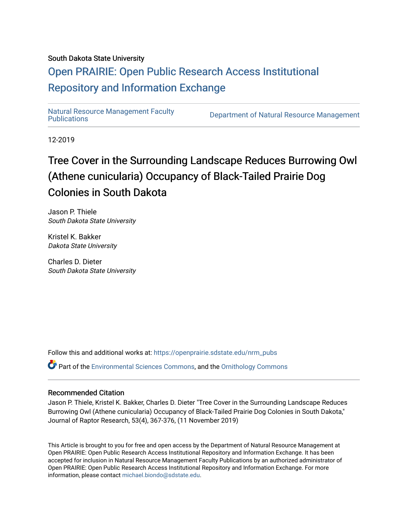# South Dakota State University

# [Open PRAIRIE: Open Public Research Access Institutional](https://openprairie.sdstate.edu/)  [Repository and Information Exchange](https://openprairie.sdstate.edu/)

Natural Resource Management Faculty<br>Publications

Department of Natural Resource Management

12-2019

# Tree Cover in the Surrounding Landscape Reduces Burrowing Owl (Athene cunicularia) Occupancy of Black-Tailed Prairie Dog Colonies in South Dakota

Jason P. Thiele South Dakota State University

Kristel K. Bakker Dakota State University

Charles D. Dieter South Dakota State University

Follow this and additional works at: [https://openprairie.sdstate.edu/nrm\\_pubs](https://openprairie.sdstate.edu/nrm_pubs?utm_source=openprairie.sdstate.edu%2Fnrm_pubs%2F293&utm_medium=PDF&utm_campaign=PDFCoverPages) Part of the [Environmental Sciences Commons](http://network.bepress.com/hgg/discipline/167?utm_source=openprairie.sdstate.edu%2Fnrm_pubs%2F293&utm_medium=PDF&utm_campaign=PDFCoverPages), and the [Ornithology Commons](http://network.bepress.com/hgg/discipline/1190?utm_source=openprairie.sdstate.edu%2Fnrm_pubs%2F293&utm_medium=PDF&utm_campaign=PDFCoverPages) 

# Recommended Citation

Jason P. Thiele, Kristel K. Bakker, Charles D. Dieter "Tree Cover in the Surrounding Landscape Reduces Burrowing Owl (Athene cunicularia) Occupancy of Black-Tailed Prairie Dog Colonies in South Dakota," Journal of Raptor Research, 53(4), 367-376, (11 November 2019)

This Article is brought to you for free and open access by the Department of Natural Resource Management at Open PRAIRIE: Open Public Research Access Institutional Repository and Information Exchange. It has been accepted for inclusion in Natural Resource Management Faculty Publications by an authorized administrator of Open PRAIRIE: Open Public Research Access Institutional Repository and Information Exchange. For more information, please contact [michael.biondo@sdstate.edu](mailto:michael.biondo@sdstate.edu).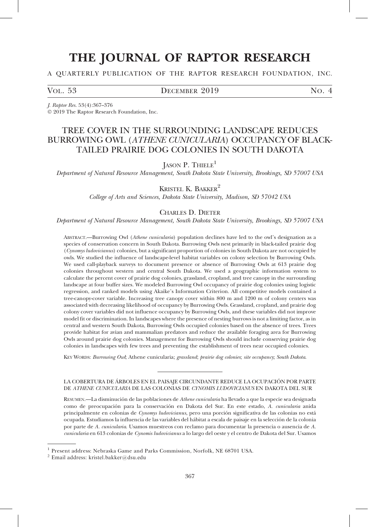# THE JOURNAL OF RAPTOR RESEARCH

## A QUARTERLY PUBLICATION OF THE RAPTOR RESEARCH FOUNDATION, INC.

## VOL. 53  $D$  DECEMBER 2019  $N$ O. 4

J. Raptor Res. 53(4):367–376

- 2019 The Raptor Research Foundation, Inc.

# TREE COVER IN THE SURROUNDING LANDSCAPE REDUCES BURROWING OWL (ATHENE CUNICULARIA) OCCUPANCY OF BLACK-TAILED PRAIRIE DOG COLONIES IN SOUTH DAKOTA

# JASON P. THIELE<sup>1</sup>

Department of Natural Resource Management, South Dakota State University, Brookings, SD 57007 USA

# KRISTEL K. BAKKER<sup>2</sup>

College of Arts and Sciences, Dakota State University, Madison, SD 57042 USA

## CHARLES D. DIETER

Department of Natural Resource Management, South Dakota State University, Brookings, SD 57007 USA

ABSTRACT.—Burrowing Owl (Athene cunicularia) population declines have led to the owl's designation as a species of conservation concern in South Dakota. Burrowing Owls nest primarily in black-tailed prairie dog (Cynomys ludovicianus) colonies, but a significant proportion of colonies in South Dakota are not occupied by owls. We studied the influence of landscape-level habitat variables on colony selection by Burrowing Owls. We used call-playback surveys to document presence or absence of Burrowing Owls at 613 prairie dog colonies throughout western and central South Dakota. We used a geographic information system to calculate the percent cover of prairie dog colonies, grassland, cropland, and tree canopy in the surrounding landscape at four buffer sizes. We modeled Burrowing Owl occupancy of prairie dog colonies using logistic regression, and ranked models using Akaike's Information Criterion. All competitive models contained a tree-canopy-cover variable. Increasing tree canopy cover within 800 m and 1200 m of colony centers was associated with decreasing likelihood of occupancy by Burrowing Owls. Grassland, cropland, and prairie dog colony cover variables did not influence occupancy by Burrowing Owls, and these variables did not improve model fit or discrimination. In landscapes where the presence of nesting burrows is not a limiting factor, as in central and western South Dakota, Burrowing Owls occupied colonies based on the absence of trees. Trees provide habitat for avian and mammalian predators and reduce the available foraging area for Burrowing Owls around prairie dog colonies. Management for Burrowing Owls should include conserving prairie dog colonies in landscapes with few trees and preventing the establishment of trees near occupied colonies.

KEY WORDS: Burrowing Owl; Athene cunicularia; grassland; prairie dog colonies; site occupancy; South Dakota.

#### LA COBERTURA DE ÁRBOLES EN EL PAISAJE CIRCUNDANTE REDUCE LA OCUPACIÓN POR PARTE DE ATHENE CUNICULARIA DE LAS COLONIAS DE CYNOMIS LUDOVICIANUS EN DAKOTA DEL SUR

RESUMEN.—La disminución de las poblaciones de Athene cunicularia ha llevado a que la especie sea designada como de preocupación para la conservación en Dakota del Sur. En este estado, A. *cunicularia* anida principalmente en colonias de Cynomys ludovicianus, pero una porción significativa de las colonias no está ocupada. Estudiamos la influencia de las variables del hábitat a escala de paisaje en la selección de la colonia por parte de A. cunicularia. Usamos muestreos con reclamo para documentar la presencia o ausencia de A. cunicularia en 613 colonias de Cynomis ludovicianus a lo largo del oeste y el centro de Dakota del Sur. Usamos

<sup>1</sup> Present address: Nebraska Game and Parks Commission, Norfolk, NE 68701 USA.

 $^2$ Email address: kristel.bakker@dsu.edu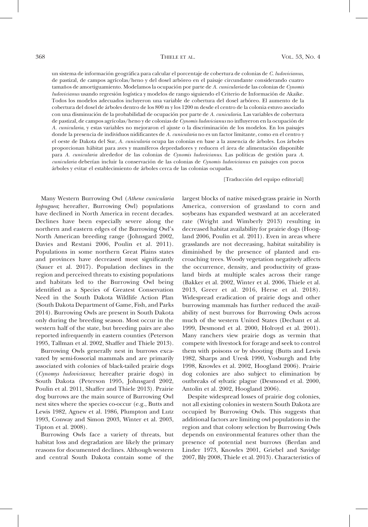un sistema de información geográfica para calcular el porcentaje de cobertura de colonias de C. ludovicianus, de pastizal, de campos agrícolas/heno y del dosel arbóreo en el paisaje circundante considerando cuatro tamaños de amortiguamiento. Modelamos la ocupación por parte de A. cunicularia de las colonias de Cynomis ludovicianus usando regresión logística y modelos de rango siguiendo el Criterio de Información de Akaike. Todos los modelos adecuados incluyeron una variable de cobertura del dosel arbóreo. El aumento de la cobertura del dosel de a´rboles dentro de los 800 m y los 1200 m desde el centro de la colonia estuvo asociado con una disminución de la probabilidad de ocupación por parte de A. *cunicularia*. Las variables de cobertura de pastizal, de campos agrícolas/heno y de colonias de Cynomis ludovicianus no influyeron en la ocupación de A. cunicularia, y estas variables no mejoraron el ajuste o la discriminación de los modelos. En los paisajes donde la presencia de individuos nidificantes de A. cunicularia no es un factor limitante, como en el centro y el oeste de Dakota del Sur, A. cunicularia ocupa las colonias en base a la ausencia de árboles. Los árboles proporcionan hábitat para aves y mamíferos depredadores y reducen el área de alimentación disponible para A. cunicularia alrededor de las colonias de Cynomis ludovicianus. Las políticas de gestión para A. cunicularia deberían incluir la conservación de las colonias de Cynomis ludovicianus en paisajes con pocos árboles y evitar el establecimiento de árboles cerca de las colonias ocupadas.

[Traducción del equipo editorial]

Many Western Burrowing Owl (Athene cunicularia hypugaea; hereafter, Burrowing Owl) populations have declined in North America in recent decades. Declines have been especially severe along the northern and eastern edges of the Burrowing Owl's North American breeding range (Johnsgard 2002, Davies and Restani 2006, Poulin et al. 2011). Populations in some northern Great Plains states and provinces have decreased most significantly (Sauer et al. 2017). Population declines in the region and perceived threats to existing populations and habitats led to the Burrowing Owl being identified as a Species of Greatest Conservation Need in the South Dakota Wildlife Action Plan (South Dakota Department of Game, Fish, and Parks 2014). Burrowing Owls are present in South Dakota only during the breeding season. Most occur in the western half of the state, but breeding pairs are also reported infrequently in eastern counties (Peterson 1995, Tallman et al. 2002, Shaffer and Thiele 2013).

Burrowing Owls generally nest in burrows excavated by semi-fossorial mammals and are primarily associated with colonies of black-tailed prairie dogs (Cynomys ludovicianus; hereafter prairie dogs) in South Dakota (Peterson 1995, Johnsgard 2002, Poulin et al. 2011, Shaffer and Thiele 2013). Prairie dog burrows are the main source of Burrowing Owl nest sites where the species co-occur (e.g., Butts and Lewis 1982, Agnew et al. 1986, Plumpton and Lutz 1993, Conway and Simon 2003, Winter et al. 2003, Tipton et al. 2008).

Burrowing Owls face a variety of threats, but habitat loss and degradation are likely the primary reasons for documented declines. Although western and central South Dakota contain some of the largest blocks of native mixed-grass prairie in North America, conversion of grassland to corn and soybeans has expanded westward at an accelerated rate (Wright and Wimberly 2013) resulting in decreased habitat availability for prairie dogs (Hoogland 2006, Poulin et al. 2011). Even in areas where grasslands are not decreasing, habitat suitability is diminished by the presence of planted and encroaching trees. Woody vegetation negatively affects the occurrence, density, and productivity of grassland birds at multiple scales across their range (Bakker et al. 2002, Winter et al. 2006, Thiele et al. 2013, Greer et al. 2016, Herse et al. 2018). Widespread eradication of prairie dogs and other burrowing mammals has further reduced the availability of nest burrows for Burrowing Owls across much of the western United States (Dechant et al. 1999, Desmond et al. 2000, Holroyd et al. 2001). Many ranchers view prairie dogs as vermin that compete with livestock for forage and seek to control them with poisons or by shooting (Butts and Lewis 1982, Sharps and Uresk 1990, Vosburgh and Irby 1998, Knowles et al. 2002, Hoogland 2006). Prairie dog colonies are also subject to elimination by outbreaks of sylvatic plague (Desmond et al. 2000, Antolin et al. 2002, Hoogland 2006).

Despite widespread losses of prairie dog colonies, not all existing colonies in western South Dakota are occupied by Burrowing Owls. This suggests that additional factors are limiting owl populations in the region and that colony selection by Burrowing Owls depends on environmental features other than the presence of potential nest burrows (Berdan and Linder 1973, Knowles 2001, Griebel and Savidge 2007, Bly 2008, Thiele et al. 2013). Characteristics of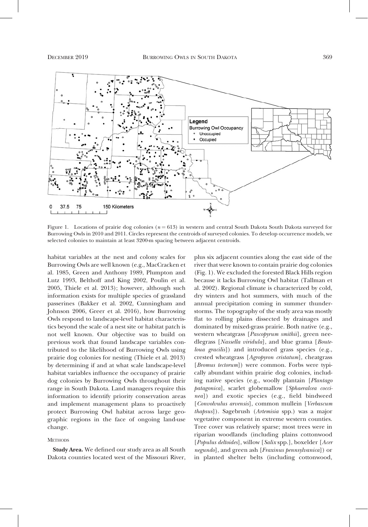

Figure 1. Locations of prairie dog colonies ( $n = 613$ ) in western and central South Dakota South Dakota surveyed for Burrowing Owls in 2010 and 2011. Circles represent the centroids of surveyed colonies. To develop occurrence models, we selected colonies to maintain at least 3200-m spacing between adjacent centroids.

habitat variables at the nest and colony scales for Burrowing Owls are well known (e.g., MacCracken et al. 1985, Green and Anthony 1989, Plumpton and Lutz 1993, Belthoff and King 2002, Poulin et al. 2005, Thiele et al. 2013); however, although such information exists for multiple species of grassland passerines (Bakker et al. 2002, Cunningham and Johnson 2006, Greer et al. 2016), how Burrowing Owls respond to landscape-level habitat characteristics beyond the scale of a nest site or habitat patch is not well known. Our objective was to build on previous work that found landscape variables contributed to the likelihood of Burrowing Owls using prairie dog colonies for nesting (Thiele et al. 2013) by determining if and at what scale landscape-level habitat variables influence the occupancy of prairie dog colonies by Burrowing Owls throughout their range in South Dakota. Land managers require this information to identify priority conservation areas and implement management plans to proactively protect Burrowing Owl habitat across large geographic regions in the face of ongoing land-use change.

### **METHODS**

Study Area. We defined our study area as all South Dakota counties located west of the Missouri River,

plus six adjacent counties along the east side of the river that were known to contain prairie dog colonies (Fig. 1). We excluded the forested Black Hills region because it lacks Burrowing Owl habitat (Tallman et al. 2002). Regional climate is characterized by cold, dry winters and hot summers, with much of the annual precipitation coming in summer thunderstorms. The topography of the study area was mostly flat to rolling plains dissected by drainages and dominated by mixed-grass prairie. Both native (e.g., western wheatgrass [Pascopyrum smithii], green needlegrass [Nassella viridula], and blue grama [Bouteloua gracilis]) and introduced grass species (e.g., crested wheatgrass [Agropyron cristatum], cheatgrass [*Bromus tectorum*]) were common. Forbs were typically abundant within prairie dog colonies, including native species (e.g., woolly plantain [Plantago patagonica], scarlet globemallow [Sphaeralcea coccinea]) and exotic species (e.g., field bindweed [Convolvulus arvensis], common mullein [Verbascum thapsus]). Sagebrush (Artemisia spp.) was a major vegetative component in extreme western counties. Tree cover was relatively sparse; most trees were in riparian woodlands (including plains cottonwood [Populus deltoides], willow [Salix spp.], boxelder [Acer negundo], and green ash [Fraxinus pennsylvanica]) or in planted shelter belts (including cottonwood,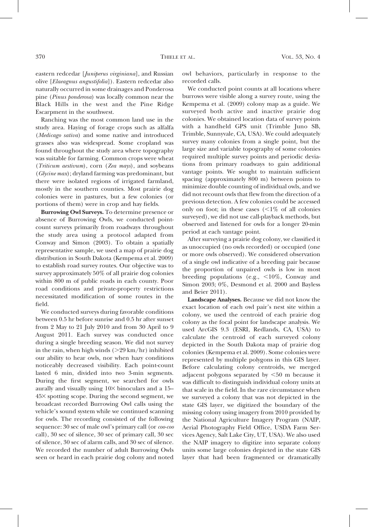eastern redcedar [Juniperus virginiana], and Russian olive [Elaeagnus angustifolia]). Eastern redcedar also naturally occurred in some drainages and Ponderosa pine (Pinus ponderosa) was locally common near the Black Hills in the west and the Pine Ridge Escarpment in the southwest.

Ranching was the most common land use in the study area. Haying of forage crops such as alfalfa (Medicago sativa) and some native and introduced grasses also was widespread. Some cropland was found throughout the study area where topography was suitable for farming. Common crops were wheat (Triticum aestivum), corn (Zea mays), and soybeans (Glycine max); dryland farming was predominant, but there were isolated regions of irrigated farmland, mostly in the southern counties. Most prairie dog colonies were in pastures, but a few colonies (or portions of them) were in crop and hay fields.

Burrowing Owl Surveys. To determine presence or absence of Burrowing Owls, we conducted pointcount surveys primarily from roadways throughout the study area using a protocol adapted from Conway and Simon (2003). To obtain a spatially representative sample, we used a map of prairie dog distribution in South Dakota (Kempema et al. 2009) to establish road survey routes. Our objective was to survey approximately 50% of all prairie dog colonies within 800 m of public roads in each county. Poor road conditions and private-property restrictions necessitated modification of some routes in the field.

We conducted surveys during favorable conditions between 0.5 hr before sunrise and 0.5 hr after sunset from 2 May to 21 July 2010 and from 30 April to 9 August 2011. Each survey was conducted once during a single breeding season. We did not survey in the rain, when high winds  $(>29 \text{ km/hr})$  inhibited our ability to hear owls, nor when hazy conditions noticeably decreased visibility. Each point-count lasted 6 min, divided into two 3-min segments. During the first segment, we searched for owls aurally and visually using  $10\times$  binoculars and a 15-453 spotting scope. During the second segment, we broadcast recorded Burrowing Owl calls using the vehicle's sound system while we continued scanning for owls. The recording consisted of the following sequence: 30 sec of male owl's primary call (or coo-coo call), 30 sec of silence, 30 sec of primary call, 30 sec of silence, 30 sec of alarm calls, and 30 sec of silence. We recorded the number of adult Burrowing Owls seen or heard in each prairie dog colony and noted owl behaviors, particularly in response to the recorded calls.

We conducted point counts at all locations where burrows were visible along a survey route, using the Kempema et al. (2009) colony map as a guide. We surveyed both active and inactive prairie dog colonies. We obtained location data of survey points with a handheld GPS unit (Trimble Juno SB, Trimble, Sunnyvale, CA, USA). We could adequately survey many colonies from a single point, but the large size and variable topography of some colonies required multiple survey points and periodic deviations from primary roadways to gain additional vantage points. We sought to maintain sufficient spacing (approximately 800 m) between points to minimize double counting of individual owls, and we did not recount owls that flew from the direction of a previous detection. A few colonies could be accessed only on foot; in these cases  $\langle \leq 1\%$  of all colonies surveyed), we did not use call-playback methods, but observed and listened for owls for a longer 20-min period at each vantage point.

After surveying a prairie dog colony, we classified it as unoccupied (no owls recorded) or occupied (one or more owls observed). We considered observation of a single owl indicative of a breeding pair because the proportion of unpaired owls is low in most breeding populations (e.g.,  $\langle 10\%, \text{Convay} \rangle$  and Simon 2003; 0%, Desmond et al. 2000 and Bayless and Beier 2011).

Landscape Analyses. Because we did not know the exact location of each owl pair's nest site within a colony, we used the centroid of each prairie dog colony as the focal point for landscape analysis. We used ArcGIS 9.3 (ESRI, Redlands, CA, USA) to calculate the centroid of each surveyed colony depicted in the South Dakota map of prairie dog colonies (Kempema et al. 2009). Some colonies were represented by multiple polygons in this GIS layer. Before calculating colony centroids, we merged adjacent polygons separated by  $<50$  m because it was difficult to distinguish individual colony units at that scale in the field. In the rare circumstance when we surveyed a colony that was not depicted in the state GIS layer, we digitized the boundary of the missing colony using imagery from 2010 provided by the National Agriculture Imagery Program (NAIP, Aerial Photography Field Office, USDA Farm Services Agency, Salt Lake City, UT, USA). We also used the NAIP imagery to digitize into separate colony units some large colonies depicted in the state GIS layer that had been fragmented or dramatically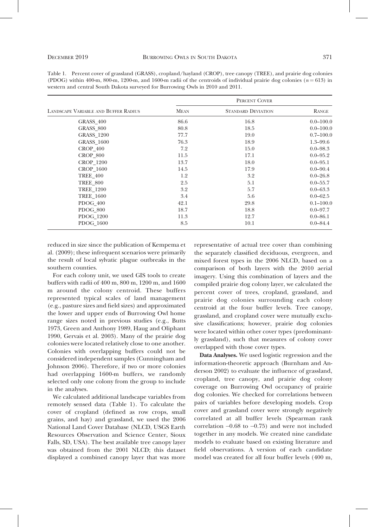| Table 1. Percent cover of grassland (GRASS), cropland/hayland (CROP), tree canopy (TREE), and prairie dog colonies        |
|---------------------------------------------------------------------------------------------------------------------------|
| (PDOG) within 400-m, 800-m, 1200-m, and 1600-m radii of the centroids of individual prairie dog colonies ( $n = 613$ ) in |
| western and central South Dakota surveyed for Burrowing Owls in 2010 and 2011.                                            |

|                                             | PERCENT COVER |                           |               |  |
|---------------------------------------------|---------------|---------------------------|---------------|--|
| <b>LANDSCAPE VARIABLE AND BUFFER RADIUS</b> | <b>MEAN</b>   | <b>STANDARD DEVIATION</b> | RANGE         |  |
| GRASS 400                                   | 86.6          | 16.8                      | $0.0 - 100.0$ |  |
| <b>GRASS 800</b>                            | 80.8          | 18.5                      | $0.0 - 100.0$ |  |
| <b>GRASS 1200</b>                           | 77.7          | 19.0                      | $0.7 - 100.0$ |  |
| <b>GRASS 1600</b>                           | 76.3          | 18.9                      | $1.3 - 99.6$  |  |
| CROP 400                                    | 7.2           | 15.0                      | $0.0 - 98.3$  |  |
| CROP 800                                    | 11.5          | 17.1                      | $0.0 - 95.2$  |  |
| <b>CROP 1200</b>                            | 13.7          | 18.0                      | $0.0 - 95.1$  |  |
| <b>CROP 1600</b>                            | 14.5          | 17.9                      | $0.0 - 90.4$  |  |
| <b>TREE 400</b>                             | 1.2           | 3.2                       | $0.0 - 26.8$  |  |
| <b>TREE 800</b>                             | 2.5           | 5.1                       | $0.0 - 55.7$  |  |
| <b>TREE 1200</b>                            | 3.2           | 5.7                       | $0.0 - 63.3$  |  |
| <b>TREE 1600</b>                            | 3.4           | 5.6                       | $0.0 - 62.5$  |  |
| PDOG 400                                    | 42.1          | 29.8                      | $0.1 - 100.0$ |  |
| <b>PDOG 800</b>                             | 18.7          | 18.8                      | $0.0 - 97.7$  |  |
| PDOG 1200                                   | 11.3          | 12.7                      | $0.0 - 86.1$  |  |
| PDOG 1600                                   | 8.5           | 10.1                      | $0.0 - 84.4$  |  |

reduced in size since the publication of Kempema et al. (2009); these infrequent scenarios were primarily the result of local sylvatic plague outbreaks in the southern counties.

For each colony unit, we used GIS tools to create buffers with radii of 400 m, 800 m, 1200 m, and 1600 m around the colony centroid. These buffers represented typical scales of land management (e.g., pasture sizes and field sizes) and approximated the lower and upper ends of Burrowing Owl home range sizes noted in previous studies (e.g., Butts 1973, Green and Anthony 1989, Haug and Oliphant 1990, Gervais et al. 2003). Many of the prairie dog colonies were located relatively close to one another. Colonies with overlapping buffers could not be considered independent samples (Cunningham and Johnson 2006). Therefore, if two or more colonies had overlapping 1600-m buffers, we randomly selected only one colony from the group to include in the analyses.

We calculated additional landscape variables from remotely sensed data (Table 1). To calculate the cover of cropland (defined as row crops, small grains, and hay) and grassland, we used the 2006 National Land Cover Database (NLCD, USGS Earth Resources Observation and Science Center, Sioux Falls, SD, USA). The best available tree canopy layer was obtained from the 2001 NLCD; this dataset displayed a combined canopy layer that was more

representative of actual tree cover than combining the separately classified deciduous, evergreen, and mixed forest types in the 2006 NLCD, based on a comparison of both layers with the 2010 aerial imagery. Using this combination of layers and the compiled prairie dog colony layer, we calculated the percent cover of trees, cropland, grassland, and prairie dog colonies surrounding each colony centroid at the four buffer levels. Tree canopy, grassland, and cropland cover were mutually exclusive classifications; however, prairie dog colonies were located within other cover types (predominantly grassland), such that measures of colony cover overlapped with those cover types.

Data Analyses. We used logistic regression and the information-theoretic approach (Burnham and Anderson 2002) to evaluate the influence of grassland, cropland, tree canopy, and prairie dog colony coverage on Burrowing Owl occupancy of prairie dog colonies. We checked for correlations between pairs of variables before developing models. Crop cover and grassland cover were strongly negatively correlated at all buffer levels (Spearman rank correlation  $-0.68$  to  $-0.75$ ) and were not included together in any models. We created nine candidate models to evaluate based on existing literature and field observations. A version of each candidate model was created for all four buffer levels (400 m,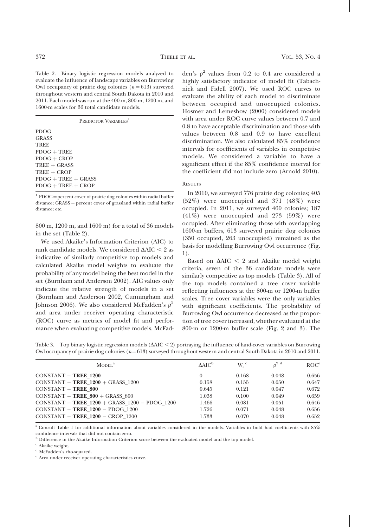Table 2. Binary logistic regression models analyzed to evaluate the influence of landscape variables on Burrowing Owl occupancy of prairie dog colonies  $(n = 613)$  surveyed throughout western and central South Dakota in 2010 and 2011. Each model was run at the 400-m, 800-m, 1200-m, and 1600-m scales for 36 total candidate models.

|                       | PREDICTOR VARIABLES <sup>1</sup> |  |
|-----------------------|----------------------------------|--|
| <b>PDOG</b>           |                                  |  |
| <b>GRASS</b>          |                                  |  |
| <b>TREE</b>           |                                  |  |
| $PDOG + TREE$         |                                  |  |
| $PDOG + CROP$         |                                  |  |
| $TREE + GRASS$        |                                  |  |
| $TREE + CROP$         |                                  |  |
| $PDOG + TREE + GRASS$ |                                  |  |
| $PDOG + TREE + CROP$  |                                  |  |
|                       |                                  |  |

 $1$  PDOG = percent cover of prairie dog colonies within radial buffer  $distance$ ;  $GRASS = percent cover of grassland within radial buffer$ distance: etc.

800 m, 1200 m, and 1600 m) for a total of 36 models in the set (Table 2).

We used Akaike's Information Criterion (AIC) to rank candidate models. We considered  $\Delta AIC < 2$  as indicative of similarly competitive top models and calculated Akaike model weights to evaluate the probability of any model being the best model in the set (Burnham and Anderson 2002). AIC values only indicate the relative strength of models in a set (Burnham and Anderson 2002, Cunningham and Johnson 2006). We also considered McFadden's  $\rho^2$ and area under receiver operating characteristic (ROC) curve as metrics of model fit and performance when evaluating competitive models. McFadden's  $\rho^2$  values from 0.2 to 0.4 are considered a highly satisfactory indicator of model fit (Tabachnick and Fidell 2007). We used ROC curves to evaluate the ability of each model to discriminate between occupied and unoccupied colonies. Hosmer and Lemeshow (2000) considered models with area under ROC curve values between 0.7 and 0.8 to have acceptable discrimination and those with values between 0.8 and 0.9 to have excellent discrimination. We also calculated 85% confidence intervals for coefficients of variables in competitive models. We considered a variable to have a significant effect if the 85% confidence interval for the coefficient did not include zero (Arnold 2010).

#### RESULTS

In 2010, we surveyed 776 prairie dog colonies; 405 (52%) were unoccupied and 371 (48%) were occupied. In 2011, we surveyed 460 colonies; 187 (41%) were unoccupied and 273 (59%) were occupied. After eliminating those with overlapping 1600-m buffers, 613 surveyed prairie dog colonies (350 occupied, 263 unoccupied) remained as the basis for modelling Burrowing Owl occurrence (Fig. 1).

Based on  $\Delta AIC < 2$  and Akaike model weight criteria, seven of the 36 candidate models were similarly competitive as top models (Table 3). All of the top models contained a tree cover variable reflecting influences at the 800-m or 1200-m buffer scales. Tree cover variables were the only variables with significant coefficients. The probability of Burrowing Owl occurrence decreased as the proportion of tree cover increased, whether evaluated at the 800-m or 1200-m buffer scale (Fig. 2 and 3). The

Table 3. Top binary logistic regression models  $(\Delta AIC < 2)$  portraying the influence of land-cover variables on Burrowing Owl occupancy of prairie dog colonies  $(n=613)$  surveyed throughout western and central South Dakota in 2010 and 2011.

| MODEL <sup>a</sup>                                  | AAIC <sup>b</sup> | $W_i$ <sup>c</sup> | $\sigma^2$ <sup>d</sup> | ROC <sup>e</sup> |
|-----------------------------------------------------|-------------------|--------------------|-------------------------|------------------|
|                                                     |                   |                    |                         |                  |
| $CONSTANT - TREE 1200$                              |                   | 0.168              | 0.048                   | 0.656            |
| CONSTANT - TREE $1200 +$ GRASS 1200                 | 0.158             | 0.155              | 0.050                   | 0.647            |
| $CONSTANT - TREE 800$                               | 0.645             | 0.121              | 0.047                   | 0.672            |
| CONSTANT - TREE $800 +$ GRASS $800$                 | 1.038             | 0.100              | 0.049                   | 0.659            |
| CONSTANT - TREE $1200 +$ GRASS $1200 -$ PDOG $1200$ | 1.466             | 0.081              | 0.051                   | 0.646            |
| CONSTANT $-$ TREE 1200 $-$ PDOG 1200                | 1.726             | 0.071              | 0.048                   | 0.656            |
| $CONSTANT - TREE 1200 - CROP 1200$                  | 1.733             | 0.070              | 0.048                   | 0.652            |
|                                                     |                   |                    |                         |                  |

<sup>a</sup> Consult Table 1 for additional information about variables considered in the models. Variables in bold had coefficients with 85% confidence intervals that did not contain zero.

<sup>b</sup> Difference in the Akaike Information Criterion score between the evaluated model and the top model.

 $c$  Akaike weight.

<sup>d</sup> McFadden's rho-squared.

<sup>e</sup> Area under receiver operating characteristics curve.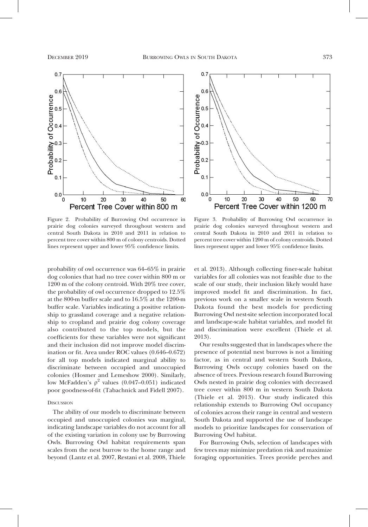



Figure 2. Probability of Burrowing Owl occurrence in prairie dog colonies surveyed throughout western and central South Dakota in 2010 and 2011 in relation to percent tree cover within 800 m of colony centroids. Dotted lines represent upper and lower 95% confidence limits.

probability of owl occurrence was 64–65% in prairie dog colonies that had no tree cover within 800 m or 1200 m of the colony centroid. With 20% tree cover, the probability of owl occurrence dropped to 12.5% at the 800-m buffer scale and to 16.5% at the 1200-m buffer scale. Variables indicating a positive relationship to grassland coverage and a negative relationship to cropland and prairie dog colony coverage also contributed to the top models, but the coefficients for these variables were not significant and their inclusion did not improve model discrimination or fit. Area under ROC values (0.646–0.672) for all top models indicated marginal ability to discriminate between occupied and unoccupied colonies (Hosmer and Lemeshow 2000). Similarly, low McFadden's  $\rho^2$  values (0.047–0.051) indicated poor goodness-of-fit (Tabachnick and Fidell 2007).

### **DISCUSSION**

The ability of our models to discriminate between occupied and unoccupied colonies was marginal, indicating landscape variables do not account for all of the existing variation in colony use by Burrowing Owls. Burrowing Owl habitat requirements span scales from the nest burrow to the home range and beyond (Lantz et al. 2007, Restani et al. 2008, Thiele

Figure 3. Probability of Burrowing Owl occurrence in prairie dog colonies surveyed throughout western and central South Dakota in 2010 and 2011 in relation to percent tree cover within 1200 m of colony centroids. Dotted lines represent upper and lower 95% confidence limits.

et al. 2013). Although collecting finer-scale habitat variables for all colonies was not feasible due to the scale of our study, their inclusion likely would have improved model fit and discrimination. In fact, previous work on a smaller scale in western South Dakota found the best models for predicting Burrowing Owl nest-site selection incorporated local and landscape-scale habitat variables, and model fit and discrimination were excellent (Thiele et al. 2013).

Our results suggested that in landscapes where the presence of potential nest burrows is not a limiting factor, as in central and western South Dakota, Burrowing Owls occupy colonies based on the absence of trees. Previous research found Burrowing Owls nested in prairie dog colonies with decreased tree cover within 800 m in western South Dakota (Thiele et al. 2013). Our study indicated this relationship extends to Burrowing Owl occupancy of colonies across their range in central and western South Dakota and supported the use of landscape models to prioritize landscapes for conservation of Burrowing Owl habitat.

For Burrowing Owls, selection of landscapes with few trees may minimize predation risk and maximize foraging opportunities. Trees provide perches and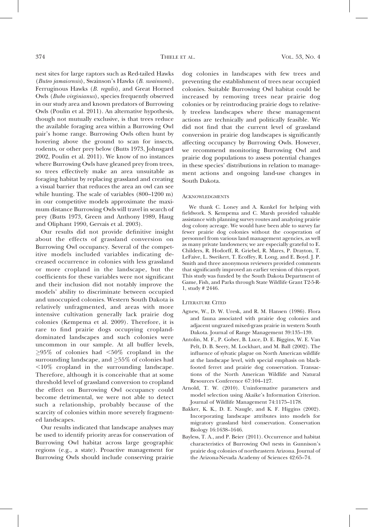nest sites for large raptors such as Red-tailed Hawks (Buteo jamaicensis), Swainson's Hawks (B. swainsoni), Ferruginous Hawks (B. regalis), and Great Horned Owls (Bubo virginianus), species frequently observed in our study area and known predators of Burrowing Owls (Poulin et al. 2011). An alternative hypothesis, though not mutually exclusive, is that trees reduce the available foraging area within a Burrowing Owl pair's home range. Burrowing Owls often hunt by hovering above the ground to scan for insects, rodents, or other prey below (Butts 1973, Johnsgard 2002, Poulin et al. 2011). We know of no instances where Burrowing Owls have gleaned prey from trees, so trees effectively make an area unsuitable as foraging habitat by replacing grassland and creating a visual barrier that reduces the area an owl can see while hunting. The scale of variables (800–1200 m) in our competitive models approximate the maximum distance Burrowing Owls will travel in search of prey (Butts 1973, Green and Anthony 1989, Haug and Oliphant 1990, Gervais et al. 2003).

Our results did not provide definitive insight about the effects of grassland conversion on Burrowing Owl occupancy. Several of the competitive models included variables indicating decreased occurrence in colonies with less grassland or more cropland in the landscape, but the coefficients for these variables were not significant and their inclusion did not notably improve the models' ability to discriminate between occupied and unoccupied colonies. Western South Dakota is relatively unfragmented, and areas with more intensive cultivation generally lack prairie dog colonies (Kempema et al. 2009). Therefore, it is rare to find prairie dogs occupying croplanddominated landscapes and such colonies were uncommon in our sample. At all buffer levels,  $\geq$ 95% of colonies had <50% cropland in the surrounding landscape, and  $\geq$ 55% of colonies had  $\leq 10\%$  cropland in the surrounding landscape. Therefore, although it is conceivable that at some threshold level of grassland conversion to cropland the effect on Burrowing Owl occupancy could become detrimental, we were not able to detect such a relationship, probably because of the scarcity of colonies within more severely fragmented landscapes.

Our results indicated that landscape analyses may be used to identify priority areas for conservation of Burrowing Owl habitat across large geographic regions (e.g., a state). Proactive management for Burrowing Owls should include conserving prairie

dog colonies in landscapes with few trees and preventing the establishment of trees near occupied colonies. Suitable Burrowing Owl habitat could be increased by removing trees near prairie dog colonies or by reintroducing prairie dogs to relatively treeless landscapes where these management actions are technically and politically feasible. We did not find that the current level of grassland conversion in prairie dog landscapes is significantly affecting occupancy by Burrowing Owls. However, we recommend monitoring Burrowing Owl and prairie dog populations to assess potential changes in these species' distributions in relation to management actions and ongoing land-use changes in South Dakota.

#### **ACKNOWLEDGMENTS**

We thank C. Loney and A. Kunkel for helping with fieldwork. S. Kempema and C. Marsh provided valuable assistance with planning survey routes and analyzing prairie dog colony acreage. We would have been able to survey far fewer prairie dog colonies without the cooperation of personnel from various land management agencies, as well as many private landowners; we are especially grateful to E. Childers, R. Hodorff, R. Griebel, R. Mares, P. Drayton, T. LeFaive, L. Sweikert, T. Ecoffey, R. Long, and E. Boyd. J. P. Smith and three anonymous reviewers provided comments that significantly improved an earlier version of this report. This study was funded by the South Dakota Department of Game, Fish, and Parks through State Wildlife Grant T2-5-R-1, study # 2446.

#### LITERATURE CITED

- Agnew, W., D. W. Uresk, and R. M. Hansen (1986). Flora and fauna associated with prairie dog colonies and adjacent ungrazed mixed-grass prairie in western South Dakota. Journal of Range Management 39:135–139.
- Antolin, M. F., P. Gober, B. Luce, D. E. Biggins, W. E. Van Pelt, D. B. Seery, M. Lockhart, and M. Ball (2002). The influence of sylvatic plague on North American wildlife at the landscape level, with special emphasis on blackfooted ferret and prairie dog conservation. Transactions of the North American Wildlife and Natural Resources Conference 67:104–127.
- Arnold, T. W. (2010). Uninformative parameters and model selection using Akaike's Information Criterion. Journal of Wildlife Management 74:1175–1178.
- Bakker, K. K., D. E. Naugle, and K. F. Higgins (2002). Incorporating landscape attributes into models for migratory grassland bird conservation. Conservation Biology 16:1638–1646.
- Bayless, T. A., and P. Beier (2011). Occurrence and habitat characteristics of Burrowing Owl nests in Gunnison's prairie dog colonies of northeastern Arizona. Journal of the Arizona-Nevada Academy of Sciences 42:65–74.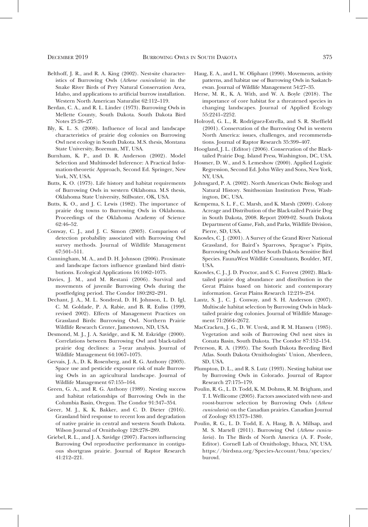- Belthoff, J. R., and R. A. King (2002). Nest-site characteristics of Burrowing Owls (Athene cunicularia) in the Snake River Birds of Prey Natural Conservation Area, Idaho, and applications to artificial burrow installation. Western North American Naturalist 62:112–119.
- Berdan, C. A., and R. L. Linder (1973). Burrowing Owls in Mellette County, South Dakota. South Dakota Bird Notes 25:26–27.
- Bly, K. L. S. (2008). Influence of local and landscape characteristics of prairie dog colonies on Burrowing Owl nest ecology in South Dakota. M.S. thesis, Montana State University, Bozeman, MT, USA.
- Burnham, K. P., and D. R. Anderson (2002). Model Selection and Multimodel Inference: A Practical Information-theoretic Approach, Second Ed. Springer, New York, NY, USA.
- Butts, K. O. (1973). Life history and habitat requirements of Burrowing Owls in western Oklahoma. M.S thesis, Oklahoma State University, Stillwater, OK, USA.
- Butts, K. O., and J. C. Lewis (1982). The importance of prairie dog towns to Burrowing Owls in Oklahoma. Proceedings of the Oklahoma Academy of Science 62:46–52.
- Conway, C. J., and J. C. Simon (2003). Comparison of detection probability associated with Burrowing Owl survey methods. Journal of Wildlife Management 67:501–511.
- Cunningham, M. A., and D. H. Johnson (2006). Proximate and landscape factors influence grassland bird distributions. Ecological Applications 16:1062–1075.
- Davies, J. M., and M. Restani (2006). Survival and movements of juvenile Burrowing Owls during the postfledging period. The Condor 180:282–291.
- Dechant, J. A., M. L. Sondreal, D. H. Johnson, L. D. Igl, C. M. Goldade, P. A. Rabie, and B. R. Euliss (1999, revised 2002). Effects of Management Practices on Grassland Birds: Burrowing Owl. Northern Prairie Wildlife Research Center, Jamestown, ND, USA.
- Desmond, M. J., J. A. Savidge, and K. M. Eskridge (2000). Correlations between Burrowing Owl and black-tailed prairie dog declines: a 7-year analysis. Journal of Wildlife Management 64:1067–1075.
- Gervais, J. A., D. K. Rosenberg, and R. G. Anthony (2003). Space use and pesticide exposure risk of male Burrowing Owls in an agricultural landscape. Journal of Wildlife Management 67:155–164.
- Green, G. A., and R. G. Anthony (1989). Nesting success and habitat relationships of Burrowing Owls in the Columbia Basin, Oregon. The Condor 91:347–354.
- Greer, M. J., K. K. Bakker, and C. D. Dieter (2016). Grassland bird response to recent loss and degradation of native prairie in central and western South Dakota. Wilson Journal of Ornithology 128:278–289.
- Griebel, R. L., and J. A. Savidge (2007). Factors influencing Burrowing Owl reproductive performance in contiguous shortgrass prairie. Journal of Raptor Research 41:212–221.
- Haug, E. A., and L. W. Oliphant (1990). Movements, activity patterns, and habitat use of Burrowing Owls in Saskatchewan. Journal of Wildlife Management 54:27–35.
- Herse, M. R., K. A. With, and W. A. Boyle (2018). The importance of core habitat for a threatened species in changing landscapes. Journal of Applied Ecology 55:2241–2252.
- Holroyd, G. L., R. Rodríguez-Estrella, and S. R. Sheffield (2001). Conservation of the Burrowing Owl in western North America: issues, challenges, and recommendations. Journal of Raptor Research 35:399–407.
- Hoogland, J. L. (Editor) (2006). Conservation of the Blacktailed Prairie Dog. Island Press, Washington, DC, USA.
- Hosmer, D. W., and S. Lemeshow (2000). Applied Logistic Regression, Second Ed. John Wiley and Sons, New York, NY, USA.
- Johnsgard, P. A. (2002). North American Owls: Biology and Natural History. Smithsonian Institution Press, Washington, DC, USA.
- Kempema, S. L. F., C. Marsh, and K. Marsh (2009). Colony Acreage and Distribution of the Black-tailed Prairie Dog in South Dakota, 2008. Report 2009-02. South Dakota Department of Game, Fish, and Parks, Wildlife Division, Pierre, SD, USA.
- Knowles, C. J. (2001). A Survey of the Grand River National Grassland, for Baird's Sparrows, Sprague's Pipits, Burrowing Owls and Other South Dakota Sensitive Bird Species. FaunaWest Wildlife Consultants, Boulder, MT, USA.
- Knowles, C. J., J. D. Proctor, and S. C. Forrest (2002). Blacktailed prairie dog abundance and distribution in the Great Plains based on historic and contemporary information. Great Plains Research 12:219–254.
- Lantz, S. J., C. J. Conway, and S. H. Anderson (2007). Multiscale habitat selection by Burrowing Owls in blacktailed prairie dog colonies. Journal of Wildlife Management 71:2664–2672.
- MacCracken, J. G., D. W. Uresk, and R. M. Hansen (1985). Vegetation and soils of Burrowing Owl nest sites in Conata Basin, South Dakota. The Condor 87:152–154.
- Peterson, R. A. (1995). The South Dakota Breeding Bird Atlas. South Dakota Ornithologists' Union, Aberdeen, SD, USA.
- Plumpton, D. L., and R. S. Lutz (1993). Nesting habitat use by Burrowing Owls in Colorado. Journal of Raptor Research 27:175–179.
- Poulin, R. G., L. D. Todd, K. M. Dohms, R. M. Brigham, and T. I. Wellicome (2005). Factors associated with nest- and roost-burrow selection by Burrowing Owls (Athene cunicularia) on the Canadian prairies. Canadian Journal of Zoology 83:1373–1380.
- Poulin, R. G., L. D. Todd, E. A. Haug, B. A. Millsap, and M. S. Martell (2011). Burrowing Owl (Athene cunicularia). In The Birds of North America (A. F. Poole, Editor). Cornell Lab of Ornithology, Ithaca, NY, USA. https://birdsna.org/Species-Account/bna/species/ burowl.